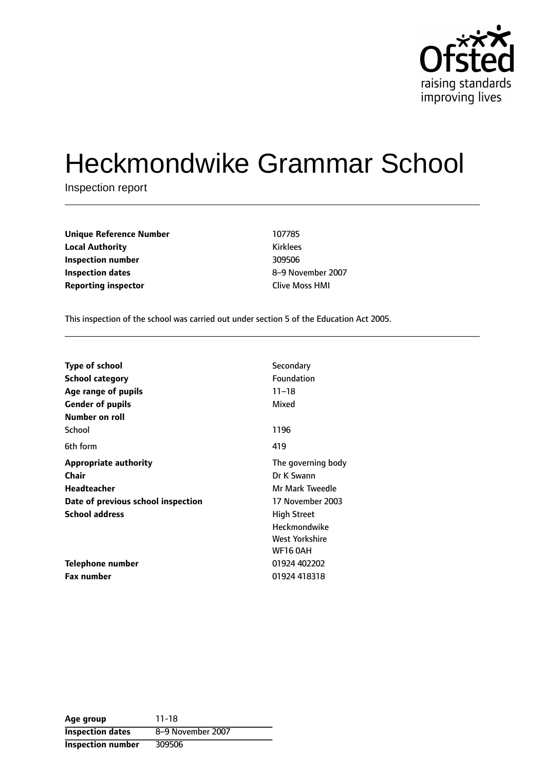

# Heckmondwike Grammar School

Inspection report

| <b>Unique Reference Number</b> | 107785                |
|--------------------------------|-----------------------|
| <b>Local Authority</b>         | <b>Kirklees</b>       |
| Inspection number              | 309506                |
| Inspection dates               | 8-9 November 2        |
| <b>Reporting inspector</b>     | <b>Clive Moss HMI</b> |

**Inspection dates** 89 November 2007

This inspection of the school was carried out under section 5 of the Education Act 2005.

| <b>Type of school</b>              | Secondary           |
|------------------------------------|---------------------|
| <b>School category</b>             | Foundation          |
|                                    |                     |
| Age range of pupils                | $11 - 18$           |
| <b>Gender of pupils</b>            | Mixed               |
| Number on roll                     |                     |
| School                             | 1196                |
| 6th form                           | 419                 |
| <b>Appropriate authority</b>       | The governing body  |
| Chair                              | Dr K Swann          |
| <b>Headteacher</b>                 | Mr Mark Tweedle     |
| Date of previous school inspection | 17 November 2003    |
| <b>School address</b>              | <b>High Street</b>  |
|                                    | <b>Heckmondwike</b> |
|                                    | West Yorkshire      |
|                                    | <b>WF16 0AH</b>     |
| Telephone number                   | 01924 402202        |
| Fax number                         | 01924 418318        |

**Age group** 11-18 **Inspection dates** 8-9 November 2007 **Inspection number** 309506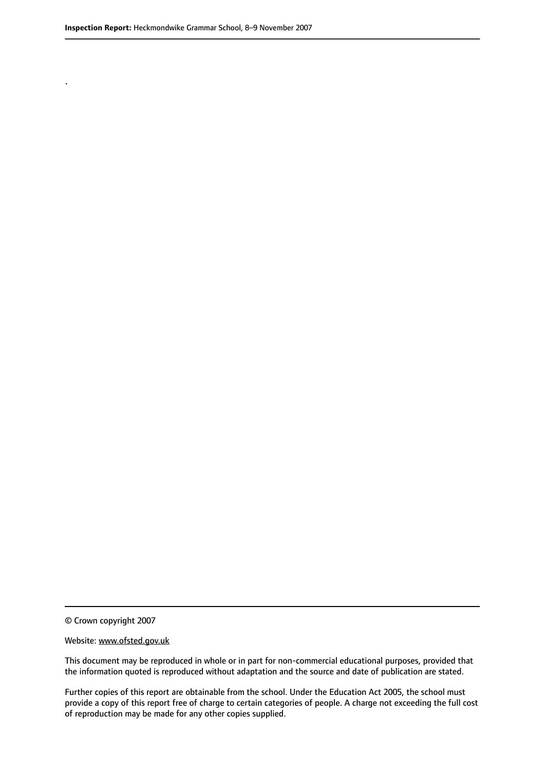.

© Crown copyright 2007

#### Website: www.ofsted.gov.uk

This document may be reproduced in whole or in part for non-commercial educational purposes, provided that the information quoted is reproduced without adaptation and the source and date of publication are stated.

Further copies of this report are obtainable from the school. Under the Education Act 2005, the school must provide a copy of this report free of charge to certain categories of people. A charge not exceeding the full cost of reproduction may be made for any other copies supplied.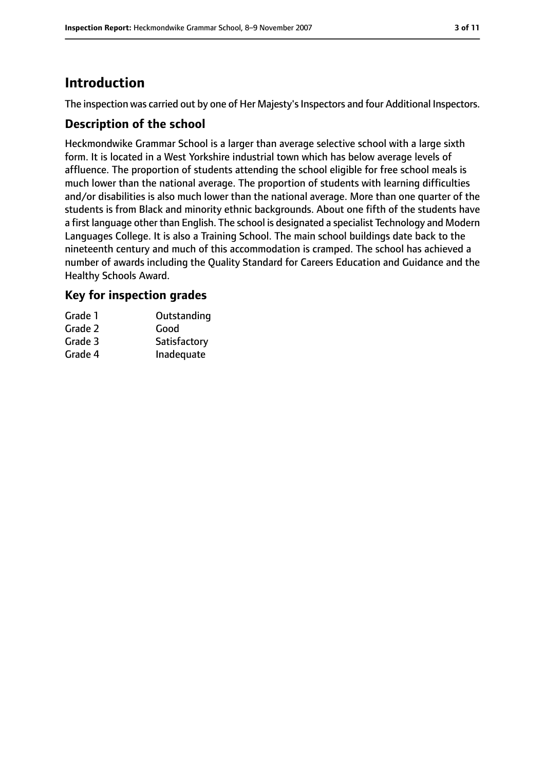### **Introduction**

The inspection was carried out by one of Her Majesty's Inspectors and four Additional Inspectors.

#### **Description of the school**

Heckmondwike Grammar School is a larger than average selective school with a large sixth form. It is located in a West Yorkshire industrial town which has below average levels of affluence. The proportion of students attending the school eligible for free school meals is much lower than the national average. The proportion of students with learning difficulties and/or disabilities is also much lower than the national average. More than one quarter of the students is from Black and minority ethnic backgrounds. About one fifth of the students have a first language other than English. The school is designated a specialist Technology and Modern Languages College. It is also a Training School. The main school buildings date back to the nineteenth century and much of this accommodation is cramped. The school has achieved a number of awards including the Quality Standard for Careers Education and Guidance and the Healthy Schools Award.

### **Key for inspection grades**

| Grade 1 | Outstanding  |
|---------|--------------|
| Grade 2 | Good         |
| Grade 3 | Satisfactory |
| Grade 4 | Inadequate   |
|         |              |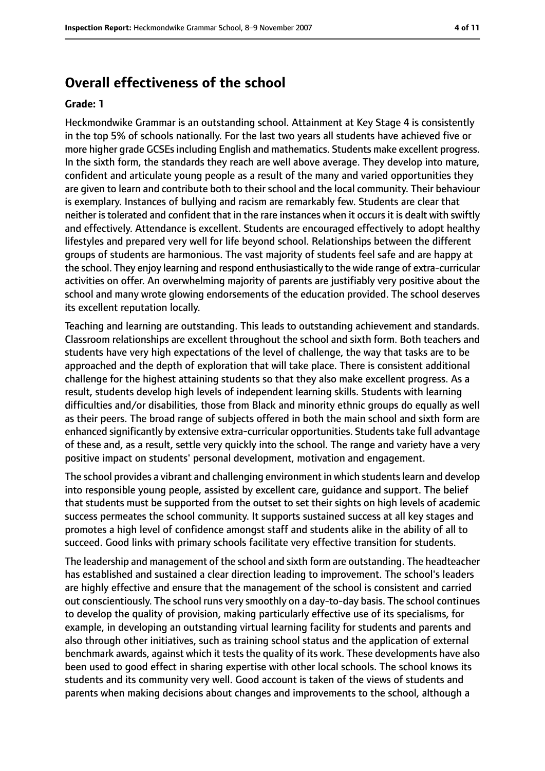### **Overall effectiveness of the school**

#### **Grade: 1**

Heckmondwike Grammar is an outstanding school. Attainment at Key Stage 4 is consistently in the top 5% of schools nationally. For the last two years all students have achieved five or more higher grade GCSEsincluding English and mathematics. Students make excellent progress. In the sixth form, the standards they reach are well above average. They develop into mature, confident and articulate young people as a result of the many and varied opportunities they are given to learn and contribute both to their school and the local community. Their behaviour is exemplary. Instances of bullying and racism are remarkably few. Students are clear that neither is tolerated and confident that in the rare instances when it occurs it is dealt with swiftly and effectively. Attendance is excellent. Students are encouraged effectively to adopt healthy lifestyles and prepared very well for life beyond school. Relationships between the different groups of students are harmonious. The vast majority of students feel safe and are happy at the school. They enjoy learning and respond enthusiastically to the wide range of extra-curricular activities on offer. An overwhelming majority of parents are justifiably very positive about the school and many wrote glowing endorsements of the education provided. The school deserves its excellent reputation locally.

Teaching and learning are outstanding. This leads to outstanding achievement and standards. Classroom relationships are excellent throughout the school and sixth form. Both teachers and students have very high expectations of the level of challenge, the way that tasks are to be approached and the depth of exploration that will take place. There is consistent additional challenge for the highest attaining students so that they also make excellent progress. As a result, students develop high levels of independent learning skills. Students with learning difficulties and/or disabilities, those from Black and minority ethnic groups do equally as well as their peers. The broad range of subjects offered in both the main school and sixth form are enhanced significantly by extensive extra-curricular opportunities. Students take full advantage of these and, as a result, settle very quickly into the school. The range and variety have a very positive impact on students' personal development, motivation and engagement.

The school provides a vibrant and challenging environment in which students learn and develop into responsible young people, assisted by excellent care, guidance and support. The belief that students must be supported from the outset to set their sights on high levels of academic success permeates the school community. It supports sustained success at all key stages and promotes a high level of confidence amongst staff and students alike in the ability of all to succeed. Good links with primary schools facilitate very effective transition for students.

The leadership and management of the school and sixth form are outstanding. The headteacher has established and sustained a clear direction leading to improvement. The school's leaders are highly effective and ensure that the management of the school is consistent and carried out conscientiously. The school runs very smoothly on a day-to-day basis. The school continues to develop the quality of provision, making particularly effective use of its specialisms, for example, in developing an outstanding virtual learning facility for students and parents and also through other initiatives, such as training school status and the application of external benchmark awards, against which it tests the quality of its work. These developments have also been used to good effect in sharing expertise with other local schools. The school knows its students and its community very well. Good account is taken of the views of students and parents when making decisions about changes and improvements to the school, although a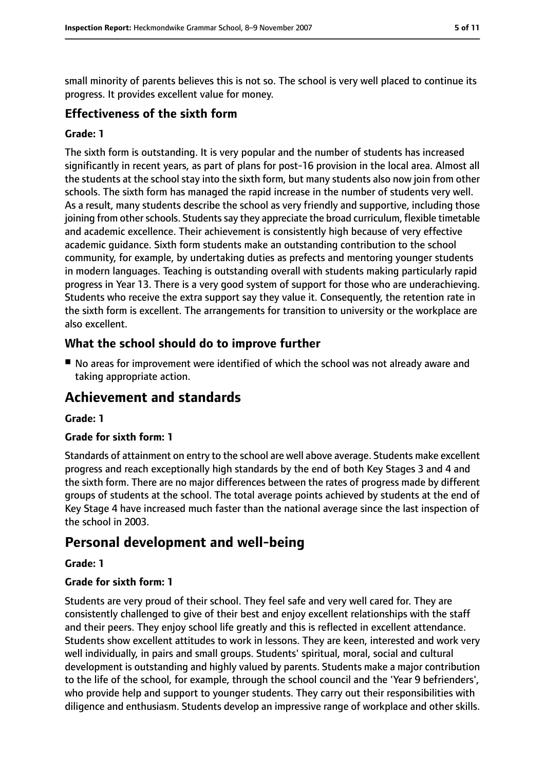small minority of parents believes this is not so. The school is very well placed to continue its progress. It provides excellent value for money.

#### **Effectiveness of the sixth form**

#### **Grade: 1**

The sixth form is outstanding. It is very popular and the number of students has increased significantly in recent years, as part of plans for post-16 provision in the local area. Almost all the students at the school stay into the sixth form, but many students also now join from other schools. The sixth form has managed the rapid increase in the number of students very well. As a result, many students describe the school as very friendly and supportive, including those joining from other schools. Students say they appreciate the broad curriculum, flexible timetable and academic excellence. Their achievement is consistently high because of very effective academic guidance. Sixth form students make an outstanding contribution to the school community, for example, by undertaking duties as prefects and mentoring younger students in modern languages. Teaching is outstanding overall with students making particularly rapid progress in Year 13. There is a very good system of support for those who are underachieving. Students who receive the extra support say they value it. Consequently, the retention rate in the sixth form is excellent. The arrangements for transition to university or the workplace are also excellent.

### **What the school should do to improve further**

■ No areas for improvement were identified of which the school was not already aware and taking appropriate action.

### **Achievement and standards**

#### **Grade: 1**

#### **Grade for sixth form: 1**

Standards of attainment on entry to the school are well above average. Students make excellent progress and reach exceptionally high standards by the end of both Key Stages 3 and 4 and the sixth form. There are no major differences between the rates of progress made by different groups of students at the school. The total average points achieved by students at the end of Key Stage 4 have increased much faster than the national average since the last inspection of the school in 2003.

### **Personal development and well-being**

#### **Grade: 1**

#### **Grade for sixth form: 1**

Students are very proud of their school. They feel safe and very well cared for. They are consistently challenged to give of their best and enjoy excellent relationships with the staff and their peers. They enjoy school life greatly and this is reflected in excellent attendance. Students show excellent attitudes to work in lessons. They are keen, interested and work very well individually, in pairs and small groups. Students' spiritual, moral, social and cultural development is outstanding and highly valued by parents. Students make a major contribution to the life of the school, for example, through the school council and the 'Year 9 befrienders', who provide help and support to younger students. They carry out their responsibilities with diligence and enthusiasm. Students develop an impressive range of workplace and other skills.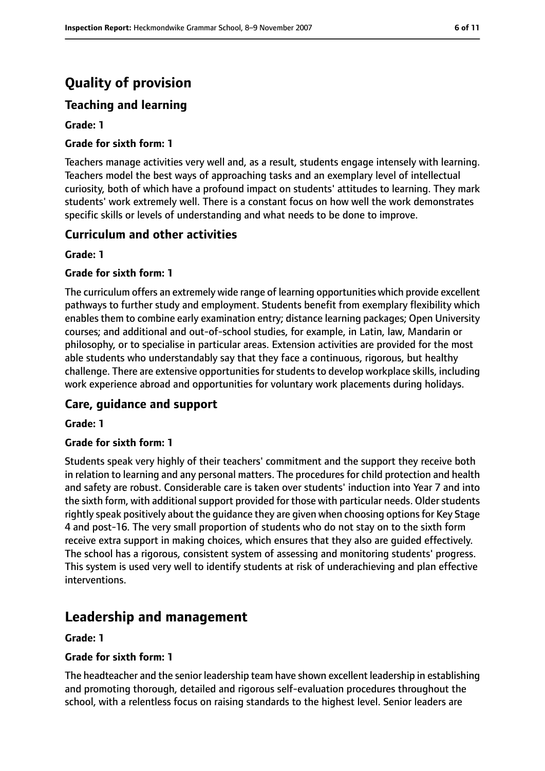## **Quality of provision**

### **Teaching and learning**

#### **Grade: 1**

#### **Grade for sixth form: 1**

Teachers manage activities very well and, as a result, students engage intensely with learning. Teachers model the best ways of approaching tasks and an exemplary level of intellectual curiosity, both of which have a profound impact on students' attitudes to learning. They mark students' work extremely well. There is a constant focus on how well the work demonstrates specific skills or levels of understanding and what needs to be done to improve.

#### **Curriculum and other activities**

#### **Grade: 1**

#### **Grade for sixth form: 1**

The curriculum offers an extremely wide range of learning opportunities which provide excellent pathways to further study and employment. Students benefit from exemplary flexibility which enables them to combine early examination entry; distance learning packages; Open University courses; and additional and out-of-school studies, for example, in Latin, law, Mandarin or philosophy, or to specialise in particular areas. Extension activities are provided for the most able students who understandably say that they face a continuous, rigorous, but healthy challenge. There are extensive opportunities for students to develop workplace skills, including work experience abroad and opportunities for voluntary work placements during holidays.

#### **Care, guidance and support**

#### **Grade: 1**

#### **Grade for sixth form: 1**

Students speak very highly of their teachers' commitment and the support they receive both in relation to learning and any personal matters. The procedures for child protection and health and safety are robust. Considerable care is taken over students' induction into Year 7 and into the sixth form, with additional support provided for those with particular needs. Older students rightly speak positively about the guidance they are given when choosing optionsfor Key Stage 4 and post-16. The very small proportion of students who do not stay on to the sixth form receive extra support in making choices, which ensures that they also are guided effectively. The school has a rigorous, consistent system of assessing and monitoring students' progress. This system is used very well to identify students at risk of underachieving and plan effective interventions.

### **Leadership and management**

#### **Grade: 1**

#### **Grade for sixth form: 1**

The headteacher and the senior leadership team have shown excellent leadership in establishing and promoting thorough, detailed and rigorous self-evaluation procedures throughout the school, with a relentless focus on raising standards to the highest level. Senior leaders are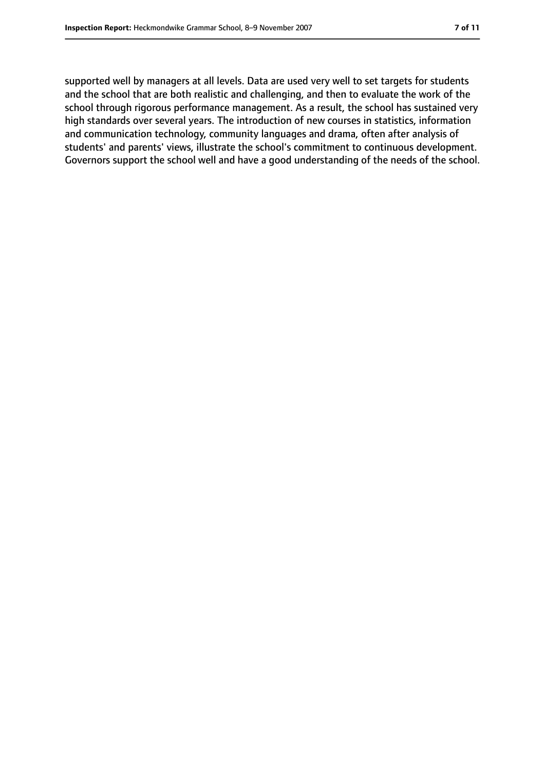supported well by managers at all levels. Data are used very well to set targets for students and the school that are both realistic and challenging, and then to evaluate the work of the school through rigorous performance management. As a result, the school has sustained very high standards over several years. The introduction of new courses in statistics, information and communication technology, community languages and drama, often after analysis of students' and parents' views, illustrate the school's commitment to continuous development. Governors support the school well and have a good understanding of the needs of the school.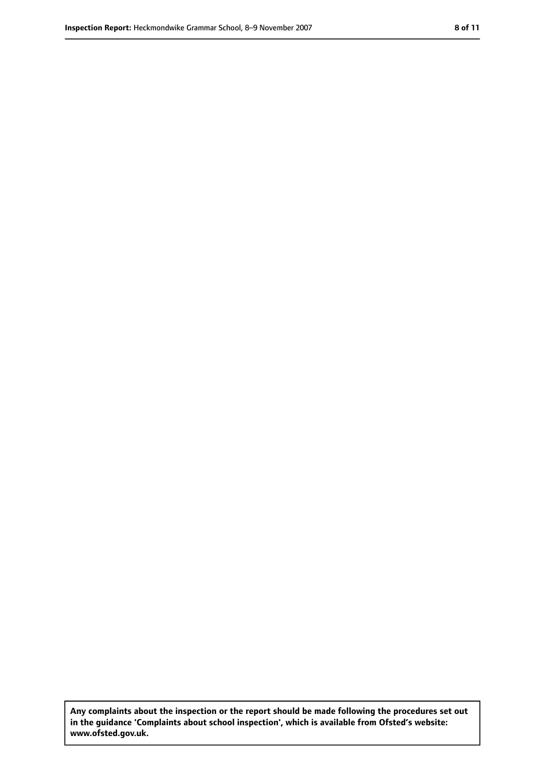**Any complaints about the inspection or the report should be made following the procedures set out in the guidance 'Complaints about school inspection', which is available from Ofsted's website: www.ofsted.gov.uk.**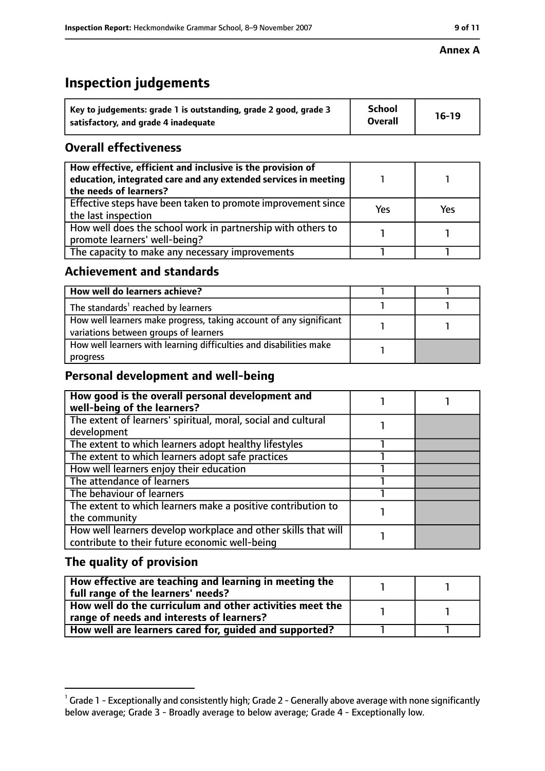#### **Annex A**

### **Inspection judgements**

| Key to judgements: grade 1 is outstanding, grade 2 good, grade 3 | <b>School</b>  | $16-19$ |
|------------------------------------------------------------------|----------------|---------|
| satisfactory, and grade 4 inadequate                             | <b>Overall</b> |         |

### **Overall effectiveness**

| How effective, efficient and inclusive is the provision of<br>education, integrated care and any extended services in meeting<br>the needs of learners? |     |     |
|---------------------------------------------------------------------------------------------------------------------------------------------------------|-----|-----|
| Effective steps have been taken to promote improvement since<br>the last inspection                                                                     | Yes | Yes |
| How well does the school work in partnership with others to<br>promote learners' well-being?                                                            |     |     |
| The capacity to make any necessary improvements                                                                                                         |     |     |

### **Achievement and standards**

| How well do learners achieve?                                                                               |  |
|-------------------------------------------------------------------------------------------------------------|--|
| The standards <sup>1</sup> reached by learners                                                              |  |
| How well learners make progress, taking account of any significant<br>variations between groups of learners |  |
| How well learners with learning difficulties and disabilities make<br>progress                              |  |

### **Personal development and well-being**

| How good is the overall personal development and<br>well-being of the learners?                                  |  |
|------------------------------------------------------------------------------------------------------------------|--|
| The extent of learners' spiritual, moral, social and cultural                                                    |  |
| development                                                                                                      |  |
| The extent to which learners adopt healthy lifestyles                                                            |  |
| The extent to which learners adopt safe practices                                                                |  |
| How well learners enjoy their education                                                                          |  |
| The attendance of learners                                                                                       |  |
| The behaviour of learners                                                                                        |  |
| The extent to which learners make a positive contribution to                                                     |  |
| the community                                                                                                    |  |
| How well learners develop workplace and other skills that will<br>contribute to their future economic well-being |  |
|                                                                                                                  |  |

### **The quality of provision**

| How effective are teaching and learning in meeting the<br>full range of the learners' needs?          |  |
|-------------------------------------------------------------------------------------------------------|--|
| How well do the curriculum and other activities meet the<br>range of needs and interests of learners? |  |
| How well are learners cared for, guided and supported?                                                |  |

 $^1$  Grade 1 - Exceptionally and consistently high; Grade 2 - Generally above average with none significantly below average; Grade 3 - Broadly average to below average; Grade 4 - Exceptionally low.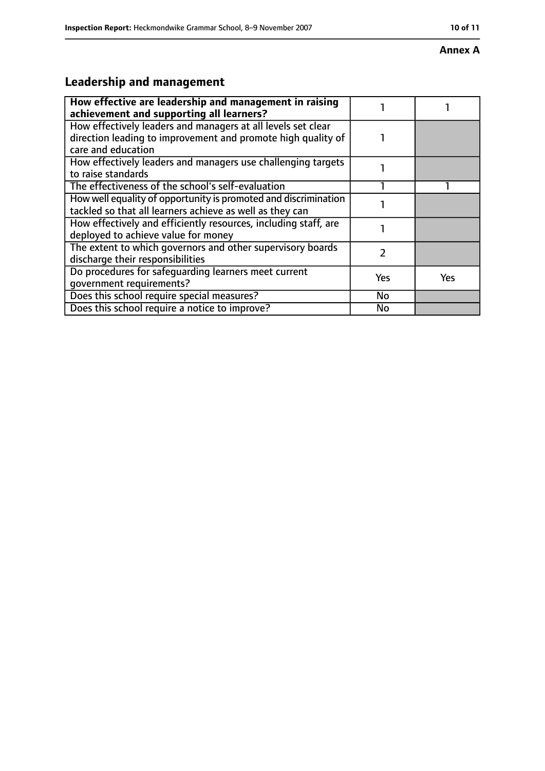#### **Annex A**

### **Leadership and management**

| How effective are leadership and management in raising<br>achievement and supporting all learners?                                                 |     |     |
|----------------------------------------------------------------------------------------------------------------------------------------------------|-----|-----|
| How effectively leaders and managers at all levels set clear<br>direction leading to improvement and promote high quality of<br>care and education |     |     |
| How effectively leaders and managers use challenging targets<br>to raise standards                                                                 |     |     |
| The effectiveness of the school's self-evaluation                                                                                                  |     |     |
| How well equality of opportunity is promoted and discrimination<br>tackled so that all learners achieve as well as they can                        |     |     |
| How effectively and efficiently resources, including staff, are<br>deployed to achieve value for money                                             |     |     |
| The extent to which governors and other supervisory boards<br>discharge their responsibilities                                                     | 2   |     |
| Do procedures for safequarding learners meet current<br>qovernment requirements?                                                                   | Yes | Yes |
| Does this school require special measures?                                                                                                         | No  |     |
| Does this school require a notice to improve?                                                                                                      | No  |     |